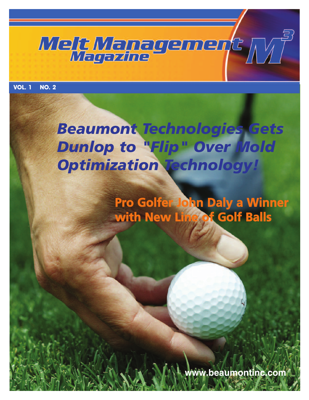

**VOL. 1 NO. 2**

## *Beaumont Technologies Gets Dunlop to "Flip" Over Mold Optimization Technology!*

**Pro Golfer John Daly a Winner with New Line of Golf Balls**

**www.beaumontinc.com**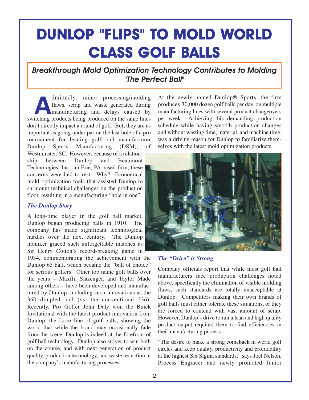## **DUNLOP "FLIPS" TO MOLD WORLD CLASS GOLF BALLS**

## *Breakthrough Mold Optimization Technology Contributes to Molding "The Perfect Ball"*

dmittedly, minor processing/molding<br>flaws, scrap and waste generated during<br>manufacturing and delays caused by<br>itching products being produced on the same lines flaws, scrap and waste generated during switching products being produced on the same lines don't directly impact a round of golf. But, they are as important as going under par on the last hole of a pro tournament for leading golf ball manufacturer Dunlop Sports Manufacturing (DSM), of Westminster, SC. However, because of a relationship between Dunlop and Beaumont Technologies, Inc., an Erie, PA based firm, these concerns were laid to rest. Why? Economical mold optimization tools that assisted Dunlop to surmount technical challenges on the production floor, resulting in a manufacturing "hole in one".

#### *The Dunlop Story*

A long-time player in the golf ball market, Dunlop began producing balls in 1910. The company has made significant technological hurdles over the next century. The Dunlop moniker graced such unforgettable matches as Sir Henry Cotton's record-breaking game in

1934, commemorating the achievement with the Dunlop 65 ball, which became the "ball of choice" for serious golfers. Other top name golf balls over the years – Maxfli, Slazenger, and Taylor Made among others – have been developed and manufactured by Dunlop, including such innovations as the 360 dimpled ball (vs. the conventional 336). Recently, Pro Golfer John Daly won the Buick Invitational with the latest product innovation from Dunlop, the Loco line of golf balls, showing the world that while the brand may occasionally fade from the scene, Dunlop is indeed at the forefront of golf ball technology. Dunlop also strives to win-both on the course, and with next generation of product quality, production technology, and waste reduction in the company's manufacturing processes.

At the newly named Dunlop® Sports, the firm produces 30,000 dozen golf balls per day, on multiple manufacturing lines with several product changeovers per week. Achieving this demanding production schedule while having smooth production changes and without wasting time, material, and machine time, was a driving reason for Dunlop to familiarize themselves with the latest mold optimization products.



#### *The "Drive" is Strong*

Company officials report that while most golf ball manufacturers face production challenges noted above, specifically the elimination of visible molding flaws, such standards are totally unacceptable at Dunlop. Competitors making their own brands of golf balls must either tolerate these situations, or they are forced to contend with vast amount of scrap. However, Dunlop's drive to run a lean and high quality product output required them to find efficiencies in their manufacturing process.

"The desire to make a strong comeback in world golf circles and keep quality, productivity and profitability at the highest Six Sigma standards," says Joel Nelson, Process Engineer and newly promoted Junior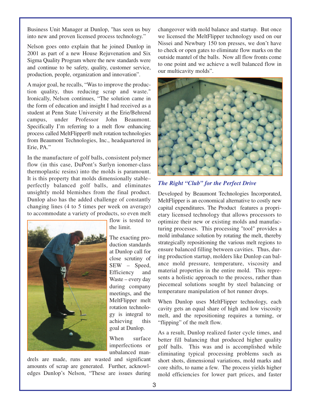Business Unit Manager at Dunlop, "has seen us buy into new and proven licensed process technology."

Nelson goes onto explain that he joined Dunlop in 2001 as part of a new House Rejuvenation and Six Sigma Quality Program where the new standards were and continue to be safety, quality, customer service, production, people, organization and innovation".

A major goal, he recalls, "Was to improve the production quality, thus reducing scrap and waste." Ironically, Nelson continues, "The solution came in the form of education and insight I had received as a student at Penn State University at the Erie/Behrend campus, under Professor John Beaumont. Specifically I'm referring to a melt flow enhancing process called MeltFlipper® melt rotation technologies from Beaumont Technologies, Inc., headquartered in Erie, PA."

In the manufacture of golf balls, consistent polymer flow (in this case, DuPont's Surlyn ionomer-class thermoplastic resins) into the molds is paramount. It is this property that molds dimensionally stable– perfectly balanced golf balls, and eliminates unsightly mold blemishes from the final product. Dunlop also has the added challenge of constantly changing lines (4 to 5 times per week on average) to accommodate a variety of products, so even melt



flow is tested to the limit.

The exacting production standards at Dunlop call for close scrutiny of SEW – Speed, Efficiency and Waste – every day during company meetings, and the MeltFlipper melt rotation technology is integral to achieving this goal at Dunlop.

When surface imperfections or unbalanced man-

drels are made, runs are wasted and significant amounts of scrap are generated. Further, acknowledges Dunlop's Nelson, "These are issues during changeover with mold balance and startup. But once we licensed the MeltFlipper technology used on our Nissei and Newbury 150 ton presses, we don't have to check or open gates to eliminate flow marks on the outside mantel of the balls. Now all flow fronts come to one point and we achieve a well balanced flow in our multicavity molds".



*The Right "Club" for the Perfect Drive*

Developed by Beaumont Technologies Incorporated, MeltFlipper is an economical alternative to costly new capital expenditures. The Product features a proprietary licensed technology that allows processors to optimize their new or existing molds and manufacturing processes. This processing "tool" provides a mold imbalance solution by rotating the melt, thereby strategically repositioning the various melt regions to ensure balanced filling between cavities. Thus, during production startup, molders like Dunlop can balance mold pressure, temperature, viscosity and material properties in the entire mold. This represents a holistic approach to the process, rather than piecemeal solutions sought by steel balancing or temperature manipulation of hot runner drops.

When Dunlop uses MeltFlipper technology, each cavity gets an equal share of high and low viscosity melt, and the repositioning requires a turning, or "flipping" of the melt flow.

As a result, Dunlop realized faster cycle times, and better fill balancing that produced higher quality golf balls. This was and is accomplished while eliminating typical processing problems such as short shots, dimensional variations, mold marks and core shifts, to name a few. The process yields higher mold efficiencies for lower part prices, and faster